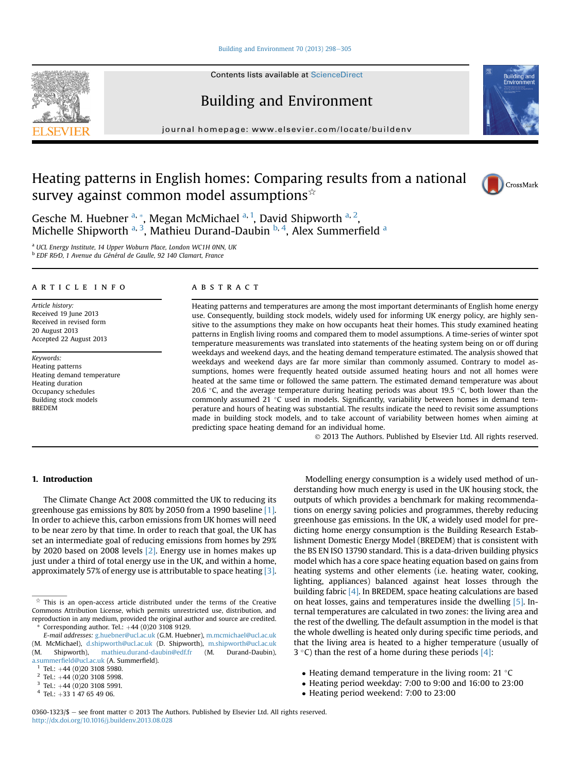## Building and Environment 70 (2013)  $298-305$  $298-305$

Contents lists available at [ScienceDirect](www.sciencedirect.com/science/journal/03601323)

# Building and Environment

journal homepage: [www.elsevier.com/locate/buildenv](http://www.elsevier.com/locate/buildenv)

# Heating patterns in English homes: Comparing results from a national survey against common model assumptions $\dot{\mathbf{x}}$



Ruilding

Gesche M. Huebner <sup>a,</sup> \*, Megan McMichael <sup>a, 1</sup>, David Shipworth <sup>a, 2</sup>, Michelle Shipworth <sup>a, 3</sup>, Mathieu Durand-Daubin <sup>b, 4</sup>, Alex Summerfield <sup>a</sup>

<sup>a</sup> UCL Energy Institute, 14 Upper Woburn Place, London WC1H 0NN, UK

<sup>b</sup> EDF R&D, 1 Avenue du Général de Gaulle, 92 140 Clamart, France

# article info

Article history: Received 19 June 2013 Received in revised form 20 August 2013 Accepted 22 August 2013

Keywords: Heating patterns Heating demand temperature Heating duration Occupancy schedules Building stock models BREDEM

#### **ABSTRACT**

Heating patterns and temperatures are among the most important determinants of English home energy use. Consequently, building stock models, widely used for informing UK energy policy, are highly sensitive to the assumptions they make on how occupants heat their homes. This study examined heating patterns in English living rooms and compared them to model assumptions. A time-series of winter spot temperature measurements was translated into statements of the heating system being on or off during weekdays and weekend days, and the heating demand temperature estimated. The analysis showed that weekdays and weekend days are far more similar than commonly assumed. Contrary to model assumptions, homes were frequently heated outside assumed heating hours and not all homes were heated at the same time or followed the same pattern. The estimated demand temperature was about 20.6  $\degree$ C, and the average temperature during heating periods was about 19.5  $\degree$ C, both lower than the commonly assumed 21  $\degree$ C used in models. Significantly, variability between homes in demand temperature and hours of heating was substantial. The results indicate the need to revisit some assumptions made in building stock models, and to take account of variability between homes when aiming at predicting space heating demand for an individual home.

2013 The Authors. Published by Elsevier Ltd. All rights reserved.

## 1. Introduction

The Climate Change Act 2008 committed the UK to reducing its greenhouse gas emissions by 80% by 2050 from a 1990 baseline [\[1\].](#page-7-0) In order to achieve this, carbon emissions from UK homes will need to be near zero by that time. In order to reach that goal, the UK has set an intermediate goal of reducing emissions from homes by 29% by 2020 based on 2008 levels [\[2\].](#page-7-0) Energy use in homes makes up just under a third of total energy use in the UK, and within a home, approximately 57% of energy use is attributable to space heating [\[3\].](#page-7-0)

Modelling energy consumption is a widely used method of understanding how much energy is used in the UK housing stock, the outputs of which provides a benchmark for making recommendations on energy saving policies and programmes, thereby reducing greenhouse gas emissions. In the UK, a widely used model for predicting home energy consumption is the Building Research Establishment Domestic Energy Model (BREDEM) that is consistent with the BS EN ISO 13790 standard. This is a data-driven building physics model which has a core space heating equation based on gains from heating systems and other elements (i.e. heating water, cooking, lighting, appliances) balanced against heat losses through the building fabric [\[4\]](#page-7-0). In BREDEM, space heating calculations are based on heat losses, gains and temperatures inside the dwelling [\[5\].](#page-7-0) Internal temperatures are calculated in two zones: the living area and the rest of the dwelling. The default assumption in the model is that the whole dwelling is heated only during specific time periods, and that the living area is heated to a higher temperature (usually of 3 °C) than the rest of a home during these periods  $[4]$ :

- $\bullet$  Heating demand temperature in the living room: 21 °C
- Heating period weekday: 7:00 to 9:00 and 16:00 to 23:00
- Heating period weekend: 7:00 to 23:00

0360-1323/\$ - see front matter  $\odot$  2013 The Authors. Published by Elsevier Ltd. All rights reserved. <http://dx.doi.org/10.1016/j.buildenv.2013.08.028>



 $\overrightarrow{x}$  This is an open-access article distributed under the terms of the Creative Commons Attribution License, which permits unrestricted use, distribution, and reproduction in any medium, provided the original author and source are credited. Corresponding author. Tel.:  $+44$  (0)20 3108 9129.

E-mail addresses: [g.huebner@ucl.ac.uk](mailto:g.huebner@ucl.ac.uk) (G.M. Huebner), [m.mcmichael@ucl.ac.uk](mailto:m.mcmichael@ucl.ac.uk) (M. McMichael), [d.shipworth@ucl.ac.uk](mailto:d.shipworth@ucl.ac.uk) (D. Shipworth), [m.shipworth@ucl.ac.uk](mailto:m.shipworth@ucl.ac.uk) (M. Shipworth), [mathieu.durand-daubin@edf.fr](mailto:mathieu.durand-daubin@edf.fr) (M. Durand-Daubin),

a.summerfi[eld@ucl.ac.uk](mailto:a.summerfield@ucl.ac.uk) (A. Summerfield).<br> $1$  Tel.:  $+44$  (0)20 3108 5980.

<sup>2</sup> Tel.:  $+44$  (0)20 3108 5998.<br><sup>3</sup> Tel.:  $+44$  (0)20 3108 5991.<br><sup>4</sup> Tel.:  $+33$  1 47 65 49 06.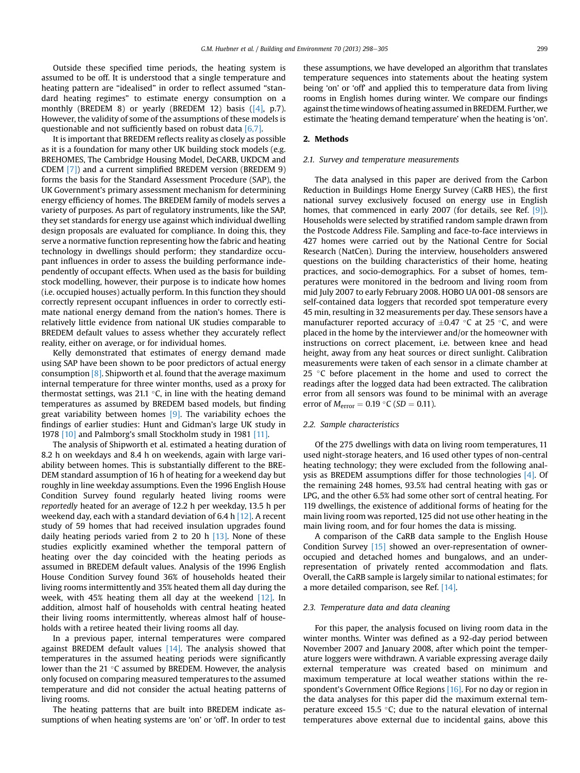Outside these specified time periods, the heating system is assumed to be off. It is understood that a single temperature and heating pattern are "idealised" in order to reflect assumed "standard heating regimes" to estimate energy consumption on a monthly (BREDEM 8) or yearly (BREDEM 12) basis ([\[4\]](#page-7-0), p.7). However, the validity of some of the assumptions of these models is questionable and not sufficiently based on robust data  $[6,7]$ .

It is important that BREDEM reflects reality as closely as possible as it is a foundation for many other UK building stock models (e.g. BREHOMES, The Cambridge Housing Model, DeCARB, UKDCM and CDEM [\[7\]](#page-7-0)) and a current simplified BREDEM version (BREDEM 9) forms the basis for the Standard Assessment Procedure (SAP), the UK Government's primary assessment mechanism for determining energy efficiency of homes. The BREDEM family of models serves a variety of purposes. As part of regulatory instruments, like the SAP, they set standards for energy use against which individual dwelling design proposals are evaluated for compliance. In doing this, they serve a normative function representing how the fabric and heating technology in dwellings should perform; they standardize occupant influences in order to assess the building performance independently of occupant effects. When used as the basis for building stock modelling, however, their purpose is to indicate how homes (i.e. occupied houses) actually perform. In this function they should correctly represent occupant influences in order to correctly estimate national energy demand from the nation's homes. There is relatively little evidence from national UK studies comparable to BREDEM default values to assess whether they accurately reflect reality, either on average, or for individual homes.

Kelly demonstrated that estimates of energy demand made using SAP have been shown to be poor predictors of actual energy consumption [\[8\]](#page-7-0). Shipworth et al. found that the average maximum internal temperature for three winter months, used as a proxy for thermostat settings, was 21.1  $\degree$ C, in line with the heating demand temperatures as assumed by BREDEM based models, but finding great variability between homes  $[9]$ . The variability echoes the findings of earlier studies: Hunt and Gidman's large UK study in 1978 [\[10\]](#page-7-0) and Palmborg's small Stockholm study in 1981 [\[11\]](#page-7-0).

The analysis of Shipworth et al. estimated a heating duration of 8.2 h on weekdays and 8.4 h on weekends, again with large variability between homes. This is substantially different to the BRE-DEM standard assumption of 16 h of heating for a weekend day but roughly in line weekday assumptions. Even the 1996 English House Condition Survey found regularly heated living rooms were reportedly heated for an average of 12.2 h per weekday, 13.5 h per weekend day, each with a standard deviation of 6.4 h [\[12\]](#page-7-0). A recent study of 59 homes that had received insulation upgrades found daily heating periods varied from 2 to 20 h  $[13]$ . None of these studies explicitly examined whether the temporal pattern of heating over the day coincided with the heating periods as assumed in BREDEM default values. Analysis of the 1996 English House Condition Survey found 36% of households heated their living rooms intermittently and 35% heated them all day during the week, with 45% heating them all day at the weekend  $[12]$ . In addition, almost half of households with central heating heated their living rooms intermittently, whereas almost half of households with a retiree heated their living rooms all day.

In a previous paper, internal temperatures were compared against BREDEM default values  $[14]$ . The analysis showed that temperatures in the assumed heating periods were significantly lower than the 21  $\degree$ C assumed by BREDEM. However, the analysis only focused on comparing measured temperatures to the assumed temperature and did not consider the actual heating patterns of living rooms.

The heating patterns that are built into BREDEM indicate assumptions of when heating systems are 'on' or 'off'. In order to test these assumptions, we have developed an algorithm that translates temperature sequences into statements about the heating system being 'on' or 'off' and applied this to temperature data from living rooms in English homes during winter. We compare our findings against the time windows of heating assumed in BREDEM. Further, we estimate the 'heating demand temperature' when the heating is 'on'.

### 2. Methods

## 2.1. Survey and temperature measurements

The data analysed in this paper are derived from the Carbon Reduction in Buildings Home Energy Survey (CaRB HES), the first national survey exclusively focused on energy use in English homes, that commenced in early 2007 (for details, see Ref. [\[9\]\)](#page-7-0). Households were selected by stratified random sample drawn from the Postcode Address File. Sampling and face-to-face interviews in 427 homes were carried out by the National Centre for Social Research (NatCen). During the interview, householders answered questions on the building characteristics of their home, heating practices, and socio-demographics. For a subset of homes, temperatures were monitored in the bedroom and living room from mid July 2007 to early February 2008. HOBO UA 001-08 sensors are self-contained data loggers that recorded spot temperature every 45 min, resulting in 32 measurements per day. These sensors have a manufacturer reported accuracy of  $\pm 0.47$  °C at 25 °C, and were placed in the home by the interviewer and/or the homeowner with instructions on correct placement, i.e. between knee and head height, away from any heat sources or direct sunlight. Calibration measurements were taken of each sensor in a climate chamber at 25  $\degree$ C before placement in the home and used to correct the readings after the logged data had been extracted. The calibration error from all sensors was found to be minimal with an average error of  $M_{\text{error}} = 0.19 \text{ }^{\circ}C \text{ } (SD = 0.11).$ 

#### 2.2. Sample characteristics

Of the 275 dwellings with data on living room temperatures, 11 used night-storage heaters, and 16 used other types of non-central heating technology; they were excluded from the following analysis as BREDEM assumptions differ for those technologies [\[4\].](#page-7-0) Of the remaining 248 homes, 93.5% had central heating with gas or LPG, and the other 6.5% had some other sort of central heating. For 119 dwellings, the existence of additional forms of heating for the main living room was reported, 125 did not use other heating in the main living room, and for four homes the data is missing.

A comparison of the CaRB data sample to the English House Condition Survey [\[15\]](#page-7-0) showed an over-representation of owneroccupied and detached homes and bungalows, and an underrepresentation of privately rented accommodation and flats. Overall, the CaRB sample is largely similar to national estimates; for a more detailed comparison, see Ref. [\[14\]](#page-7-0).

#### 2.3. Temperature data and data cleaning

For this paper, the analysis focused on living room data in the winter months. Winter was defined as a 92-day period between November 2007 and January 2008, after which point the temperature loggers were withdrawn. A variable expressing average daily external temperature was created based on minimum and maximum temperature at local weather stations within the respondent's Government Office Regions [\[16\].](#page-7-0) For no day or region in the data analyses for this paper did the maximum external temperature exceed 15.5  $\degree$ C; due to the natural elevation of internal temperatures above external due to incidental gains, above this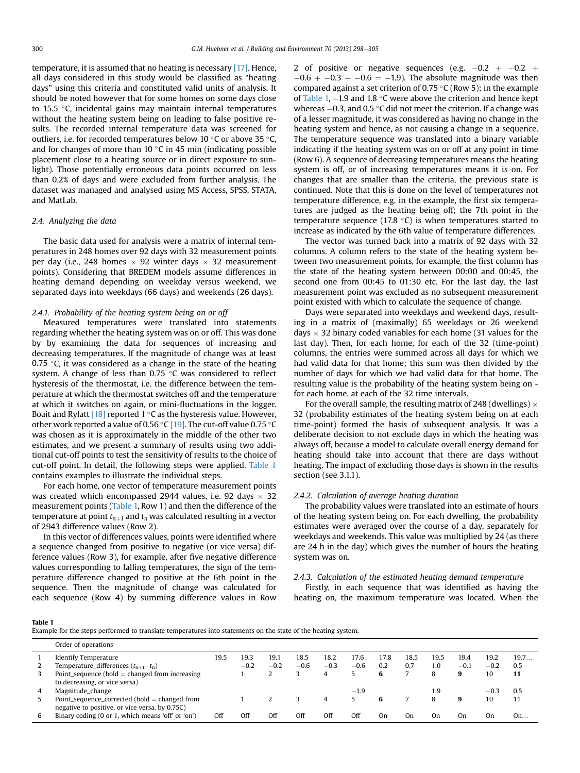temperature, it is assumed that no heating is necessary [\[17\].](#page-7-0) Hence, all days considered in this study would be classified as "heating days" using this criteria and constituted valid units of analysis. It should be noted however that for some homes on some days close to 15.5  $\degree$ C, incidental gains may maintain internal temperatures without the heating system being on leading to false positive results. The recorded internal temperature data was screened for outliers, i.e. for recorded temperatures below 10  $\degree$ C or above 35  $\degree$ C. and for changes of more than 10 $\degree$ C in 45 min (indicating possible placement close to a heating source or in direct exposure to sunlight). Those potentially erroneous data points occurred on less than 0.2% of days and were excluded from further analysis. The dataset was managed and analysed using MS Access, SPSS, STATA, and MatLab.

## 2.4. Analyzing the data

The basic data used for analysis were a matrix of internal temperatures in 248 homes over 92 days with 32 measurement points per day (i.e., 248 homes  $\times$  92 winter days  $\times$  32 measurement points). Considering that BREDEM models assume differences in heating demand depending on weekday versus weekend, we separated days into weekdays (66 days) and weekends (26 days).

### 2.4.1. Probability of the heating system being on or off

Measured temperatures were translated into statements regarding whether the heating system was on or off. This was done by by examining the data for sequences of increasing and decreasing temperatures. If the magnitude of change was at least 0.75  $\degree$ C, it was considered as a change in the state of the heating system. A change of less than  $0.75$  °C was considered to reflect hysteresis of the thermostat, i.e. the difference between the temperature at which the thermostat switches off and the temperature at which it switches on again, or mini-fluctuations in the logger. Boait and Rylatt  $[18]$  reported 1 °C as the hysteresis value. However, other work reported a value of 0.56 °C [\[19\].](#page-7-0) The cut-off value 0.75 °C was chosen as it is approximately in the middle of the other two estimates, and we present a summary of results using two additional cut-off points to test the sensitivity of results to the choice of cut-off point. In detail, the following steps were applied. Table 1 contains examples to illustrate the individual steps.

For each home, one vector of temperature measurement points was created which encompassed 2944 values, i.e. 92 days  $\times$  32 measurement points (Table 1, Row 1) and then the difference of the temperature at point  $t_{n+1}$  and  $t_n$  was calculated resulting in a vector of 2943 difference values (Row 2).

In this vector of differences values, points were identified where a sequence changed from positive to negative (or vice versa) difference values (Row 3), for example, after five negative difference values corresponding to falling temperatures, the sign of the temperature difference changed to positive at the 6th point in the sequence. Then the magnitude of change was calculated for each sequence (Row 4) by summing difference values in Row

2 of positive or negative sequences (e.g.  $-0.2$   $+$   $-0.2$   $+$  $-0.6 + -0.3 + -0.6 = -1.9$ . The absolute magnitude was then compared against a set criterion of 0.75 °C (Row 5); in the example of Table 1,  $-1.9$  and 1.8 °C were above the criterion and hence kept whereas  $-0.3$ , and 0.5 °C did not meet the criterion. If a change was of a lesser magnitude, it was considered as having no change in the heating system and hence, as not causing a change in a sequence. The temperature sequence was translated into a binary variable indicating if the heating system was on or off at any point in time (Row 6). A sequence of decreasing temperatures means the heating system is off, or of increasing temperatures means it is on. For changes that are smaller than the criteria, the previous state is continued. Note that this is done on the level of temperatures not temperature difference, e.g. in the example, the first six temperatures are judged as the heating being off; the 7th point in the temperature sequence (17.8  $\degree$ C) is when temperatures started to increase as indicated by the 6th value of temperature differences.

The vector was turned back into a matrix of 92 days with 32 columns. A column refers to the state of the heating system between two measurement points, for example, the first column has the state of the heating system between 00:00 and 00:45, the second one from 00:45 to 01:30 etc. For the last day, the last measurement point was excluded as no subsequent measurement point existed with which to calculate the sequence of change.

Days were separated into weekdays and weekend days, resulting in a matrix of (maximally) 65 weekdays or 26 weekend days  $\times$  32 binary coded variables for each home (31 values for the last day). Then, for each home, for each of the 32 (time-point) columns, the entries were summed across all days for which we had valid data for that home; this sum was then divided by the number of days for which we had valid data for that home. The resulting value is the probability of the heating system being on for each home, at each of the 32 time intervals.

For the overall sample, the resulting matrix of 248 (dwellings)  $\times$ 32 (probability estimates of the heating system being on at each time-point) formed the basis of subsequent analysis. It was a deliberate decision to not exclude days in which the heating was always off, because a model to calculate overall energy demand for heating should take into account that there are days without heating. The impact of excluding those days is shown in the results section (see 3.1.1).

#### 2.4.2. Calculation of average heating duration

The probability values were translated into an estimate of hours of the heating system being on. For each dwelling, the probability estimates were averaged over the course of a day, separately for weekdays and weekends. This value was multiplied by 24 (as there are 24 h in the day) which gives the number of hours the heating system was on.

## 2.4.3. Calculation of the estimated heating demand temperature

Firstly, in each sequence that was identified as having the heating on, the maximum temperature was located. When the

Table 1

Example for the steps performed to translate temperatures into statements on the state of the heating system.

|   | Order of operations                               |      |        |        |        |        |        |      |      |      |        |        |      |
|---|---------------------------------------------------|------|--------|--------|--------|--------|--------|------|------|------|--------|--------|------|
|   | <b>Identify Temperature</b>                       | 19.5 | 19.3   | 19.1   | 18.5   | 18.2   | 17.6   | 17.8 | 18.5 | 19.5 | 19.4   | 19.2   | 19.7 |
|   | Temperature_differences $(t_{n+1}-t_n)$           |      | $-0.2$ | $-0.2$ | $-0.6$ | $-0.3$ | $-0.6$ | 0.2  | 0.7  | 1.0  | $-0.1$ | $-0.2$ | 0.5  |
|   | Point_sequence (bold $=$ changed from increasing  |      |        |        |        | 4      |        | 6    |      | 8    | 9      | 10     | 11   |
|   | to decreasing, or vice versa)                     |      |        |        |        |        |        |      |      |      |        |        |      |
| 4 | Magnitude_change                                  |      |        |        |        |        | $-1.9$ |      |      | 9. ا |        | $-0.3$ | 0.5  |
|   | Point_sequence_corrected (bold $=$ changed from   |      |        |        |        | 4      |        |      |      | 8    | 9      | 10     | 11   |
|   | negative to positive, or vice versa, by 0.75C)    |      |        |        |        |        |        |      |      |      |        |        |      |
| 6 | Binary coding (0 or 1, which means 'off' or 'on') | Off  | Off    | Off    | Off    | Off    | Off    | On   | On   | On   | On     | On     | On   |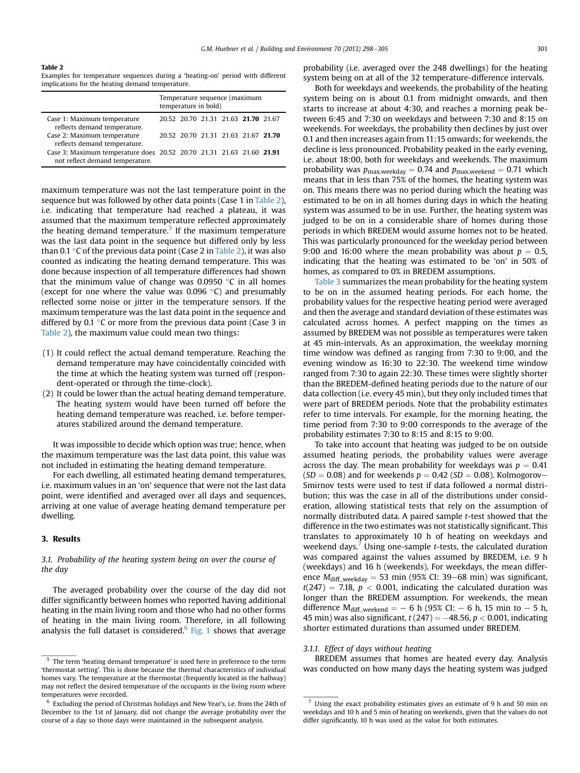#### <span id="page-3-0"></span>Table 2

Examples for temperature sequences during a 'heating-on' period with different implications for the heating demand temperature.

|                                                                                                         | Temperature sequence (maximum<br>temperature in bold) |  |  |  |                                     |  |
|---------------------------------------------------------------------------------------------------------|-------------------------------------------------------|--|--|--|-------------------------------------|--|
| Case 1: Maximum temperature<br>reflects demand temperature.                                             |                                                       |  |  |  | 20.52 20.70 21.31 21.63 21.70 21.67 |  |
| Case 2: Maximum temperature<br>reflects demand temperature.                                             |                                                       |  |  |  | 20.52 20.70 21.31 21.63 21.67 21.70 |  |
| Case 3: Maximum temperature does 20.52 20.70 21.31 21.63 21.60 21.91<br>not reflect demand temperature. |                                                       |  |  |  |                                     |  |

maximum temperature was not the last temperature point in the sequence but was followed by other data points (Case 1 in Table 2), i.e. indicating that temperature had reached a plateau, it was assumed that the maximum temperature reflected approximately the heating demand temperature.<sup>5</sup> If the maximum temperature was the last data point in the sequence but differed only by less than 0.1  $\degree$ C of the previous data point (Case 2 in Table 2), it was also counted as indicating the heating demand temperature. This was done because inspection of all temperature differences had shown that the minimum value of change was  $0.0950$  °C in all homes (except for one where the value was  $0.096 \degree C$ ) and presumably reflected some noise or jitter in the temperature sensors. If the maximum temperature was the last data point in the sequence and differed by 0.1  $\degree$ C or more from the previous data point (Case 3 in Table 2), the maximum value could mean two things:

- (1) It could reflect the actual demand temperature. Reaching the demand temperature may have coincidentally coincided with the time at which the heating system was turned off (respondent-operated or through the time-clock).
- (2) It could be lower than the actual heating demand temperature. The heating system would have been turned off before the heating demand temperature was reached, i.e. before temperatures stabilized around the demand temperature.

It was impossible to decide which option was true; hence, when the maximum temperature was the last data point, this value was not included in estimating the heating demand temperature.

For each dwelling, all estimated heating demand temperatures, i.e. maximum values in an 'on' sequence that were not the last data point, were identified and averaged over all days and sequences, arriving at one value of average heating demand temperature per dwelling.

## 3. Results

## 3.1. Probability of the heating system being on over the course of the day

The averaged probability over the course of the day did not differ significantly between homes who reported having additional heating in the main living room and those who had no other forms of heating in the main living room. Therefore, in all following analysis the full dataset is considered. $6$  [Fig. 1](#page-4-0) shows that average probability (i.e. averaged over the 248 dwellings) for the heating system being on at all of the 32 temperature-difference intervals.

Both for weekdays and weekends, the probability of the heating system being on is about 0.1 from midnight onwards, and then starts to increase at about 4:30, and reaches a morning peak between 6:45 and 7:30 on weekdays and between 7:30 and 8:15 on weekends. For weekdays, the probability then declines by just over 0.1 and then increases again from 11:15 onwards; for weekends, the decline is less pronounced. Probability peaked in the early evening, i.e. about 18:00, both for weekdays and weekends. The maximum probability was  $p_{\text{max.weekday}} = 0.74$  and  $p_{\text{max.weekend}} = 0.71$  which means that in less than 75% of the homes, the heating system was on. This means there was no period during which the heating was estimated to be on in all homes during days in which the heating system was assumed to be in use. Further, the heating system was judged to be on in a considerable share of homes during those periods in which BREDEM would assume homes not to be heated. This was particularly pronounced for the weekday period between 9:00 and 16:00 where the mean probability was about  $p = 0.5$ , indicating that the heating was estimated to be 'on' in 50% of homes, as compared to 0% in BREDEM assumptions.

[Table 3](#page-4-0) summarizes the mean probability for the heating system to be on in the assumed heating periods. For each home, the probability values for the respective heating period were averaged and then the average and standard deviation of these estimates was calculated across homes. A perfect mapping on the times as assumed by BREDEM was not possible as temperatures were taken at 45 min-intervals. As an approximation, the weekday morning time window was defined as ranging from 7:30 to 9:00, and the evening window as 16:30 to 22:30. The weekend time window ranged from 7:30 to again 22:30. These times were slightly shorter than the BREDEM-defined heating periods due to the nature of our data collection (i.e. every 45 min), but they only included times that were part of BREDEM periods. Note that the probability estimates refer to time intervals. For example, for the morning heating, the time period from 7:30 to 9:00 corresponds to the average of the probability estimates 7:30 to 8:15 and 8:15 to 9:00.

To take into account that heating was judged to be on outside assumed heating periods, the probability values were average across the day. The mean probability for weekdays was  $p = 0.41$  $(SD = 0.08)$  and for weekends  $p = 0.42$  (SD  $= 0.08$ ). Kolmogorov-Smirnov tests were used to test if data followed a normal distribution; this was the case in all of the distributions under consideration, allowing statistical tests that rely on the assumption of normally distributed data. A paired sample t-test showed that the difference in the two estimates was not statistically significant. This translates to approximately 10 h of heating on weekdays and weekend days.<sup>7</sup> Using one-sample  $t$ -tests, the calculated duration was compared against the values assumed by BREDEM, i.e. 9 h (weekdays) and 16 h (weekends). For weekdays, the mean difference  $M_{\text{diff\_weekday}} = 53 \text{ min } (95\% \text{ CI: } 39-68 \text{ min})$  was significant,  $t(247) = 7.18$ ,  $p < 0.001$ , indicating the calculated duration was longer than the BREDEM assumption. For weekends, the mean difference  $M_{diff\_weekend} = -6 h (95% CI: -6 h, 15 min to -5 h,$ 45 min) was also significant,  $t(247) = -48.56$ ,  $p < 0.001$ , indicating shorter estimated durations than assumed under BREDEM.

#### 3.1.1. Effect of days without heating

BREDEM assumes that homes are heated every day. Analysis was conducted on how many days the heating system was judged

<sup>&</sup>lt;sup>5</sup> The term 'heating demand temperature' is used here in preference to the term 'thermostat setting'. This is done because the thermal characteristics of individual homes vary. The temperature at the thermostat (frequently located in the hallway) may not reflect the desired temperature of the occupants in the living room where temperatures were recorded.

 $6$  Excluding the period of Christmas holidays and New Year's, i.e. from the 24th of December to the 1st of January, did not change the average probability over the course of a day so those days were maintained in the subsequent analysis.

<sup>7</sup> Using the exact probability estimates gives an estimate of 9 h and 50 min on weekdays and 10 h and 5 min of heating on weekends, given that the values do not differ significantly, 10 h was used as the value for both estimates.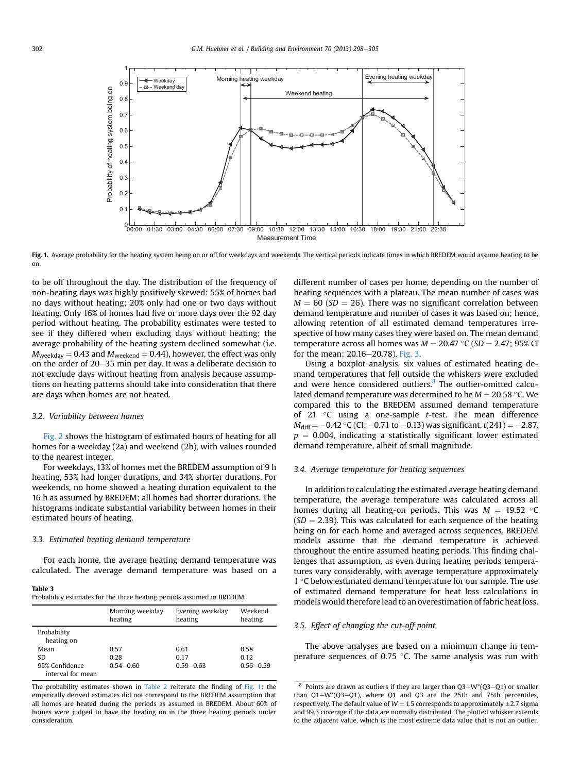<span id="page-4-0"></span>

Fig. 1. Average probability for the heating system being on or off for weekdays and weekends. The vertical periods indicate times in which BREDEM would assume heating to be on.

to be off throughout the day. The distribution of the frequency of non-heating days was highly positively skewed: 55% of homes had no days without heating; 20% only had one or two days without heating. Only 16% of homes had five or more days over the 92 day period without heating. The probability estimates were tested to see if they differed when excluding days without heating; the average probability of the heating system declined somewhat (i.e.  $M_{\text{weekday}} = 0.43$  and  $M_{\text{weekend}} = 0.44$ ), however, the effect was only on the order of  $20-35$  min per day. It was a deliberate decision to not exclude days without heating from analysis because assumptions on heating patterns should take into consideration that there are days when homes are not heated.

### 3.2. Variability between homes

[Fig. 2](#page-5-0) shows the histogram of estimated hours of heating for all homes for a weekday (2a) and weekend (2b), with values rounded to the nearest integer.

For weekdays, 13% of homes met the BREDEM assumption of 9 h heating, 53% had longer durations, and 34% shorter durations. For weekends, no home showed a heating duration equivalent to the 16 h as assumed by BREDEM; all homes had shorter durations. The histograms indicate substantial variability between homes in their estimated hours of heating.

### 3.3. Estimated heating demand temperature

For each home, the average heating demand temperature was calculated. The average demand temperature was based on a

#### Table 3

Probability estimates for the three heating periods assumed in BREDEM.

|                                     | Morning weekday<br>heating | Evening weekday<br>heating | Weekend<br>heating |
|-------------------------------------|----------------------------|----------------------------|--------------------|
| Probability<br>heating on           |                            |                            |                    |
| Mean                                | 0.57                       | 0.61                       | 0.58               |
| SD.                                 | 0.28                       | 0.17                       | 0.12               |
| 95% Confidence<br>interval for mean | $0.54 - 0.60$              | $0.59 - 0.63$              | $0.56 - 0.59$      |

The probability estimates shown in [Table 2](#page-3-0) reiterate the finding of Fig. 1: the empirically derived estimates did not correspond to the BREDEM assumption that all homes are heated during the periods as assumed in BREDEM. About 60% of homes were judged to have the heating on in the three heating periods under consideration.

different number of cases per home, depending on the number of heating sequences with a plateau. The mean number of cases was  $M = 60$  (SD = 26). There was no significant correlation between demand temperature and number of cases it was based on; hence, allowing retention of all estimated demand temperatures irrespective of how many cases they were based on. The mean demand temperature across all homes was  $M = 20.47 \degree C$  (SD = 2.47; 95% CI for the mean: 20.16-20.78), [Fig. 3.](#page-5-0)

Using a boxplot analysis, six values of estimated heating demand temperatures that fell outside the whiskers were excluded and were hence considered outliers.<sup>8</sup> The outlier-omitted calculated demand temperature was determined to be  $M = 20.58$  °C. We compared this to the BREDEM assumed demand temperature of 21  $\degree$ C using a one-sample t-test. The mean difference  $M_{\text{diff}} = -0.42 \text{ }^{\circ} \text{C}$  (CI:  $-0.71$  to  $-0.13$ ) was significant, t(241) =  $-2.87$ ,  $p = 0.004$ , indicating a statistically significant lower estimated demand temperature, albeit of small magnitude.

#### 3.4. Average temperature for heating sequences

In addition to calculating the estimated average heating demand temperature, the average temperature was calculated across all homes during all heating-on periods. This was  $M = 19.52$  °C  $(SD = 2.39)$ . This was calculated for each sequence of the heating being on for each home and averaged across sequences. BREDEM models assume that the demand temperature is achieved throughout the entire assumed heating periods. This finding challenges that assumption, as even during heating periods temperatures vary considerably, with average temperature approximately 1 $\degree$ C below estimated demand temperature for our sample. The use of estimated demand temperature for heat loss calculations in models would therefore lead to an overestimation of fabric heat loss.

## 3.5. Effect of changing the cut-off point

The above analyses are based on a minimum change in temperature sequences of 0.75  $\degree$ C. The same analysis was run with

<sup>&</sup>lt;sup>8</sup> Points are drawn as outliers if they are larger than  $Q3+W^*(Q3-Q1)$  or smaller than  $Q1-W*(Q3-Q1)$ , where  $Q1$  and  $Q3$  are the 25th and 75th percentiles, respectively. The default value of  $W = 1.5$  corresponds to approximately  $\pm 2.7$  sigma and 99.3 coverage if the data are normally distributed. The plotted whisker extends to the adjacent value, which is the most extreme data value that is not an outlier.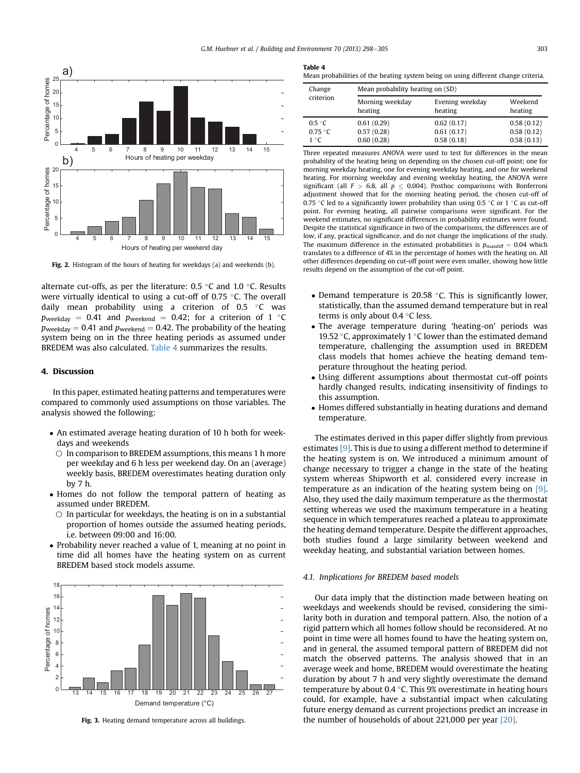<span id="page-5-0"></span>

Fig. 2. Histogram of the hours of heating for weekdays (a) and weekends (b).

alternate cut-offs, as per the literature:  $0.5 \degree C$  and  $1.0 \degree C$ . Results were virtually identical to using a cut-off of 0.75  $\degree$ C. The overall daily mean probability using a criterion of 0.5  $\degree$ C was  $p_{\text{weekday}} = 0.41$  and  $p_{\text{weekend}} = 0.42$ ; for a criterion of 1 °C  $p_{\text{weekday}} = 0.41$  and  $p_{\text{weekend}} = 0.42$ . The probability of the heating system being on in the three heating periods as assumed under BREDEM was also calculated. Table 4 summarizes the results.

## 4. Discussion

In this paper, estimated heating patterns and temperatures were compared to commonly used assumptions on those variables. The analysis showed the following:

- An estimated average heating duration of 10 h both for weekdays and weekends
	- $\circ$  In comparison to BREDEM assumptions, this means 1 h more per weekday and 6 h less per weekend day. On an (average) weekly basis, BREDEM overestimates heating duration only by 7 h.
- Homes do not follow the temporal pattern of heating as assumed under BREDEM.
	- $\circ$  In particular for weekdays, the heating is on in a substantial proportion of homes outside the assumed heating periods, i.e. between 09:00 and 16:00.
- Probability never reached a value of 1, meaning at no point in time did all homes have the heating system on as current BREDEM based stock models assume.



Fig. 3. Heating demand temperature across all buildings.

#### Table 4

Mean probabilities of the heating system being on using different change criteria.

| Change    | Mean probability heating on (SD) |                 |            |  |  |  |  |
|-----------|----------------------------------|-----------------|------------|--|--|--|--|
| criterion | Morning weekday                  | Evening weekday | Weekend    |  |  |  |  |
|           | heating                          | heating         | heating    |  |  |  |  |
| 0.5 °C    | 0.61(0.29)                       | 0.62(0.17)      | 0.58(0.12) |  |  |  |  |
| 0.75 °C   | 0.57(0.28)                       | 0.61(0.17)      | 0.58(0.12) |  |  |  |  |
| 1 °C      | 0.60(0.28)                       | 0.58(0.18)      | 0.58(0.13) |  |  |  |  |

Three repeated measures ANOVA were used to test for differences in the mean probability of the heating being on depending on the chosen cut-off point; one for morning weekday heating, one for evening weekday heating, and one for weekend heating. For morning weekday and evening weekday heating, the ANOVA were significant (all  $F > 6.8$ , all  $p \le 0.004$ ). Posthoc comparisons with Bonferroni adjustment showed that for the morning heating period, the chosen cut-off of 0.75 °C led to a significantly lower probability than using 0.5 °C or 1 °C as cut-off point. For evening heating, all pairwise comparisons were significant. For the weekend estimates, no significant differences in probability estimates were found. Despite the statistical significance in two of the comparisons, the differences are of low, if any, practical significance, and do not change the implications of the study. The maximum difference in the estimated probabilities is  $p_{\text{maxdiff}} = 0.04$  which translates to a difference of 4% in the percentage of homes with the heating on. All other differences depending on cut-off point were even smaller, showing how little results depend on the assumption of the cut-off point.

- Demand temperature is 20.58  $\degree$ C. This is significantly lower, statistically, than the assumed demand temperature but in real terms is only about 0.4  $\degree$ C less.
- The average temperature during 'heating-on' periods was 19.52 °C, approximately 1 °C lower than the estimated demand temperature, challenging the assumption used in BREDEM class models that homes achieve the heating demand temperature throughout the heating period.
- Using different assumptions about thermostat cut-off points hardly changed results, indicating insensitivity of findings to this assumption.
- Homes differed substantially in heating durations and demand temperature.

The estimates derived in this paper differ slightly from previous estimates [\[9\].](#page-7-0) This is due to using a different method to determine if the heating system is on. We introduced a minimum amount of change necessary to trigger a change in the state of the heating system whereas Shipworth et al. considered every increase in temperature as an indication of the heating system being on [\[9\].](#page-7-0) Also, they used the daily maximum temperature as the thermostat setting whereas we used the maximum temperature in a heating sequence in which temperatures reached a plateau to approximate the heating demand temperature. Despite the different approaches, both studies found a large similarity between weekend and weekday heating, and substantial variation between homes.

#### 4.1. Implications for BREDEM based models

Our data imply that the distinction made between heating on weekdays and weekends should be revised, considering the similarity both in duration and temporal pattern. Also, the notion of a rigid pattern which all homes follow should be reconsidered. At no point in time were all homes found to have the heating system on, and in general, the assumed temporal pattern of BREDEM did not match the observed patterns. The analysis showed that in an average week and home, BREDEM would overestimate the heating duration by about 7 h and very slightly overestimate the demand temperature by about 0.4  $\degree$ C. This 9% overestimate in heating hours could, for example, have a substantial impact when calculating future energy demand as current projections predict an increase in the number of households of about 221,000 per year [\[20\]](#page-7-0).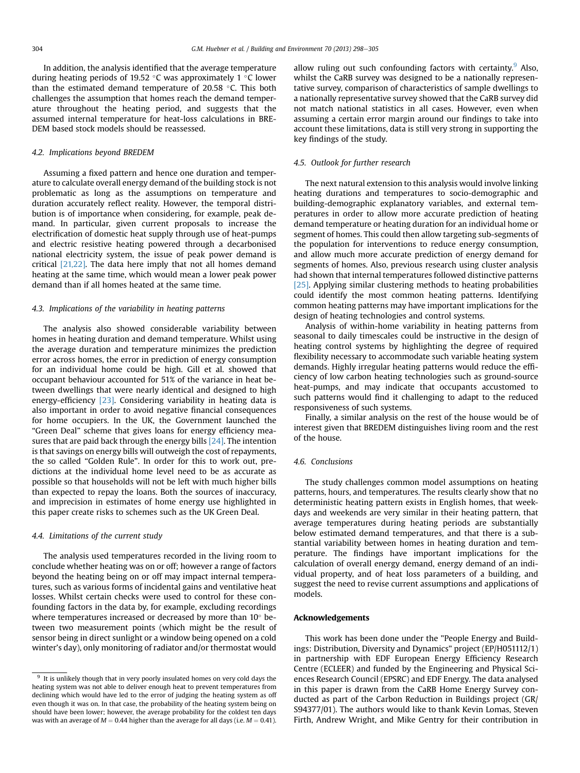In addition, the analysis identified that the average temperature during heating periods of 19.52 °C was approximately 1 °C lower than the estimated demand temperature of 20.58  $\degree$ C. This both challenges the assumption that homes reach the demand temperature throughout the heating period, and suggests that the assumed internal temperature for heat-loss calculations in BRE-DEM based stock models should be reassessed.

# 4.2. Implications beyond BREDEM

Assuming a fixed pattern and hence one duration and temperature to calculate overall energy demand of the building stock is not problematic as long as the assumptions on temperature and duration accurately reflect reality. However, the temporal distribution is of importance when considering, for example, peak demand. In particular, given current proposals to increase the electrification of domestic heat supply through use of heat-pumps and electric resistive heating powered through a decarbonised national electricity system, the issue of peak power demand is critical [\[21,22\].](#page-7-0) The data here imply that not all homes demand heating at the same time, which would mean a lower peak power demand than if all homes heated at the same time.

## 4.3. Implications of the variability in heating patterns

The analysis also showed considerable variability between homes in heating duration and demand temperature. Whilst using the average duration and temperature minimizes the prediction error across homes, the error in prediction of energy consumption for an individual home could be high. Gill et al. showed that occupant behaviour accounted for 51% of the variance in heat between dwellings that were nearly identical and designed to high energy-efficiency [\[23\]](#page-7-0). Considering variability in heating data is also important in order to avoid negative financial consequences for home occupiers. In the UK, the Government launched the "Green Deal" scheme that gives loans for energy efficiency measures that are paid back through the energy bills [\[24\].](#page-7-0) The intention is that savings on energy bills will outweigh the cost of repayments, the so called "Golden Rule". In order for this to work out, predictions at the individual home level need to be as accurate as possible so that households will not be left with much higher bills than expected to repay the loans. Both the sources of inaccuracy, and imprecision in estimates of home energy use highlighted in this paper create risks to schemes such as the UK Green Deal.

## 4.4. Limitations of the current study

The analysis used temperatures recorded in the living room to conclude whether heating was on or off; however a range of factors beyond the heating being on or off may impact internal temperatures, such as various forms of incidental gains and ventilative heat losses. Whilst certain checks were used to control for these confounding factors in the data by, for example, excluding recordings where temperatures increased or decreased by more than  $10^{\circ}$  between two measurement points (which might be the result of sensor being in direct sunlight or a window being opened on a cold winter's day), only monitoring of radiator and/or thermostat would allow ruling out such confounding factors with certainty.  $9$  Also, whilst the CaRB survey was designed to be a nationally representative survey, comparison of characteristics of sample dwellings to a nationally representative survey showed that the CaRB survey did not match national statistics in all cases. However, even when assuming a certain error margin around our findings to take into account these limitations, data is still very strong in supporting the key findings of the study.

## 4.5. Outlook for further research

The next natural extension to this analysis would involve linking heating durations and temperatures to socio-demographic and building-demographic explanatory variables, and external temperatures in order to allow more accurate prediction of heating demand temperature or heating duration for an individual home or segment of homes. This could then allow targeting sub-segments of the population for interventions to reduce energy consumption, and allow much more accurate prediction of energy demand for segments of homes. Also, previous research using cluster analysis had shown that internal temperatures followed distinctive patterns [\[25\]](#page-7-0). Applying similar clustering methods to heating probabilities could identify the most common heating patterns. Identifying common heating patterns may have important implications for the design of heating technologies and control systems.

Analysis of within-home variability in heating patterns from seasonal to daily timescales could be instructive in the design of heating control systems by highlighting the degree of required flexibility necessary to accommodate such variable heating system demands. Highly irregular heating patterns would reduce the efficiency of low carbon heating technologies such as ground-source heat-pumps, and may indicate that occupants accustomed to such patterns would find it challenging to adapt to the reduced responsiveness of such systems.

Finally, a similar analysis on the rest of the house would be of interest given that BREDEM distinguishes living room and the rest of the house.

### 4.6. Conclusions

The study challenges common model assumptions on heating patterns, hours, and temperatures. The results clearly show that no deterministic heating pattern exists in English homes, that weekdays and weekends are very similar in their heating pattern, that average temperatures during heating periods are substantially below estimated demand temperatures, and that there is a substantial variability between homes in heating duration and temperature. The findings have important implications for the calculation of overall energy demand, energy demand of an individual property, and of heat loss parameters of a building, and suggest the need to revise current assumptions and applications of models.

## Acknowledgements

This work has been done under the "People Energy and Buildings: Distribution, Diversity and Dynamics" project (EP/H051112/1) in partnership with EDF European Energy Efficiency Research Centre (ECLEER) and funded by the Engineering and Physical Sciences Research Council (EPSRC) and EDF Energy. The data analysed in this paper is drawn from the CaRB Home Energy Survey conducted as part of the Carbon Reduction in Buildings project (GR/ S94377/01). The authors would like to thank Kevin Lomas, Steven Firth, Andrew Wright, and Mike Gentry for their contribution in

 $9$  It is unlikely though that in very poorly insulated homes on very cold days the heating system was not able to deliver enough heat to prevent temperatures from declining which would have led to the error of judging the heating system as off even though it was on. In that case, the probability of the heating system being on should have been lower; however, the average probability for the coldest ten days was with an average of  $M = 0.44$  higher than the average for all days (i.e.  $M = 0.41$ ).